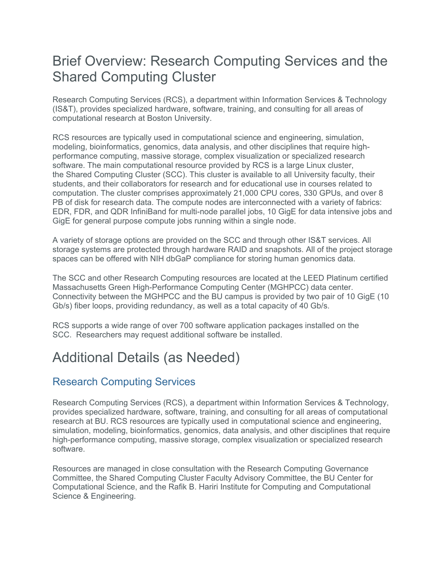# Brief Overview: Research Computing Services and the Shared Computing Cluster

Research Computing Services (RCS), a department within Information Services & Technology (IS&T), provides specialized hardware, software, training, and consulting for all areas of computational research at Boston University.

RCS resources are typically used in computational science and engineering, simulation, modeling, bioinformatics, genomics, data analysis, and other disciplines that require highperformance computing, massive storage, complex visualization or specialized research software. The main computational resource provided by RCS is a large Linux cluster, the Shared Computing Cluster (SCC). This cluster is available to all University faculty, their students, and their collaborators for research and for educational use in courses related to computation. The cluster comprises approximately 21,000 CPU cores, 330 GPUs, and over 8 PB of disk for research data. The compute nodes are interconnected with a variety of fabrics: EDR, FDR, and QDR InfiniBand for multi-node parallel jobs, 10 GigE for data intensive jobs and GigE for general purpose compute jobs running within a single node.

A variety of storage options are provided on the SCC and through other IS&T services. All storage systems are protected through hardware RAID and snapshots. All of the project storage spaces can be offered with NIH dbGaP compliance for storing human genomics data.

The SCC and other Research Computing resources are located at the LEED Platinum certified Massachusetts Green High-Performance Computing Center (MGHPCC) data center. Connectivity between the MGHPCC and the BU campus is provided by two pair of 10 GigE (10 Gb/s) fiber loops, providing redundancy, as well as a total capacity of 40 Gb/s.

RCS supports a wide range of over 700 software application packages installed on the SCC. Researchers may request additional software be installed.

# Additional Details (as Needed)

### Research Computing Services

Research Computing Services (RCS), a department within Information Services & Technology, provides specialized hardware, software, training, and consulting for all areas of computational research at BU. RCS resources are typically used in computational science and engineering, simulation, modeling, bioinformatics, genomics, data analysis, and other disciplines that require high-performance computing, massive storage, complex visualization or specialized research software.

Resources are managed in close consultation with the Research Computing Governance Committee, the Shared Computing Cluster Faculty Advisory Committee, the BU Center for Computational Science, and the Rafik B. Hariri Institute for Computing and Computational Science & Engineering.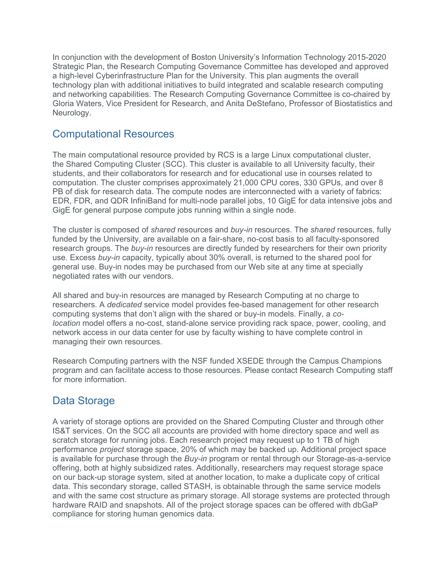In conjunction with the development of Boston University's Information Technology 2015-2020 Strategic Plan, the Research Computing Governance Committee has developed and approved a high-level Cyberinfrastructure Plan for the University. This plan augments the overall technology plan with additional initiatives to build integrated and scalable research computing and networking capabilities. The Research Computing Governance Committee is co-chaired by Gloria Waters, Vice President for Research, and Anita DeStefano, Professor of Biostatistics and Neurology.

#### Computational Resources

The main computational resource provided by RCS is a large Linux computational cluster, the Shared Computing Cluster (SCC). This cluster is available to all University faculty, their students, and their collaborators for research and for educational use in courses related to computation. The cluster comprises approximately 21,000 CPU cores, 330 GPUs, and over 8 PB of disk for research data. The compute nodes are interconnected with a variety of fabrics: EDR, FDR, and QDR InfiniBand for multi-node parallel jobs, 10 GigE for data intensive jobs and GigE for general purpose compute jobs running within a single node.

The cluster is composed of *shared* resources and *buy-in* resources. The *shared* resources, fully funded by the University, are available on a fair-share, no-cost basis to all faculty-sponsored research groups. The *buy-in* resources are directly funded by researchers for their own priority use. Excess *buy-in* capacity, typically about 30% overall, is returned to the shared pool for general use. Buy-in nodes may be purchased from our Web site at any time at specially negotiated rates with our vendors.

All shared and buy-in resources are managed by Research Computing at no charge to researchers. A *dedicated* service model provides fee-based management for other research computing systems that don't align with the shared or buy-in models. Finally, a *colocation* model offers a no-cost, stand-alone service providing rack space, power, cooling, and network access in our data center for use by faculty wishing to have complete control in managing their own resources.

Research Computing partners with the NSF funded XSEDE through the Campus Champions program and can facilitate access to those resources. Please contact Research Computing staff for more information.

### Data Storage

A variety of storage options are provided on the Shared Computing Cluster and through other IS&T services. On the SCC all accounts are provided with home directory space and well as scratch storage for running jobs. Each research project may request up to 1 TB of high performance *project* storage space, 20% of which may be backed up. Additional project space is available for purchase through the *Buy-in* program or rental through our Storage-as-a-service offering, both at highly subsidized rates. Additionally, researchers may request storage space on our back-up storage system, sited at another location, to make a duplicate copy of critical data. This secondary storage, called STASH, is obtainable through the same service models and with the same cost structure as primary storage. All storage systems are protected through hardware RAID and snapshots. All of the project storage spaces can be offered with dbGaP compliance for storing human genomics data.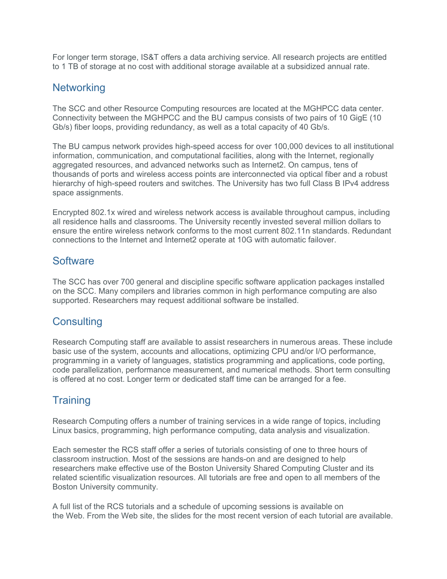For longer term storage, IS&T offers a data archiving service. All research projects are entitled to 1 TB of storage at no cost with additional storage available at a subsidized annual rate.

#### **Networking**

The SCC and other Resource Computing resources are located at the MGHPCC data center. Connectivity between the MGHPCC and the BU campus consists of two pairs of 10 GigE (10 Gb/s) fiber loops, providing redundancy, as well as a total capacity of 40 Gb/s.

The BU campus network provides high-speed access for over 100,000 devices to all institutional information, communication, and computational facilities, along with the Internet, regionally aggregated resources, and advanced networks such as Internet2. On campus, tens of thousands of ports and wireless access points are interconnected via optical fiber and a robust hierarchy of high-speed routers and switches. The University has two full Class B IPv4 address space assignments.

Encrypted 802.1x wired and wireless network access is available throughout campus, including all residence halls and classrooms. The University recently invested several million dollars to ensure the entire wireless network conforms to the most current 802.11n standards. Redundant connections to the Internet and Internet2 operate at 10G with automatic failover.

#### **Software**

The SCC has over 700 general and discipline specific software application packages installed on the SCC. Many compilers and libraries common in high performance computing are also supported. Researchers may request additional software be installed.

#### **Consulting**

Research Computing staff are available to assist researchers in numerous areas. These include basic use of the system, accounts and allocations, optimizing CPU and/or I/O performance, programming in a variety of languages, statistics programming and applications, code porting, code parallelization, performance measurement, and numerical methods. Short term consulting is offered at no cost. Longer term or dedicated staff time can be arranged for a fee.

# **Training**

Research Computing offers a number of training services in a wide range of topics, including Linux basics, programming, high performance computing, data analysis and visualization.

Each semester the RCS staff offer a series of tutorials consisting of one to three hours of classroom instruction. Most of the sessions are hands-on and are designed to help researchers make effective use of the Boston University Shared Computing Cluster and its related scientific visualization resources. All tutorials are free and open to all members of the Boston University community.

A full list of the RCS tutorials and a schedule of upcoming sessions is available on the Web. From the Web site, the slides for the most recent version of each tutorial are available.